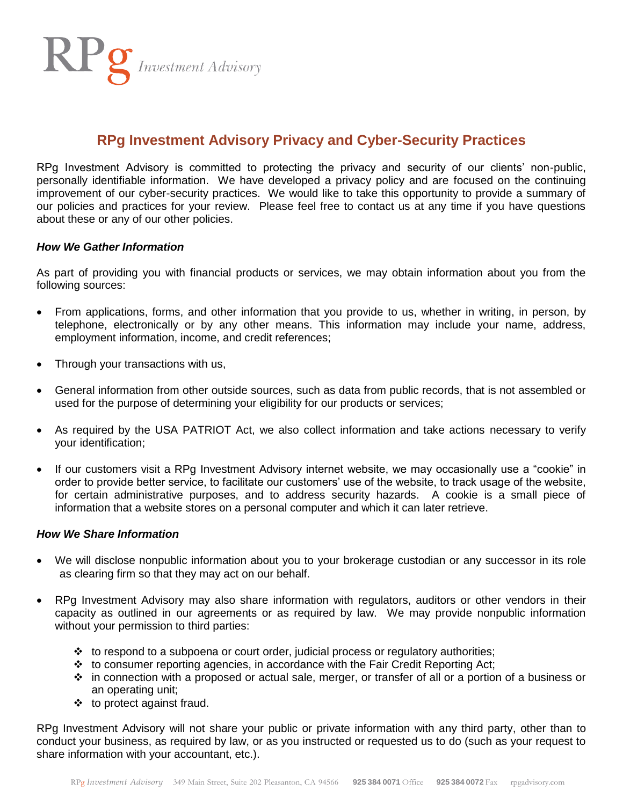RPg Investment Advisory

# **RPg Investment Advisory Privacy and Cyber-Security Practices**

RPg Investment Advisory is committed to protecting the privacy and security of our clients' non-public, personally identifiable information. We have developed a privacy policy and are focused on the continuing improvement of our cyber-security practices. We would like to take this opportunity to provide a summary of our policies and practices for your review. Please feel free to contact us at any time if you have questions about these or any of our other policies.

### *How We Gather Information*

As part of providing you with financial products or services, we may obtain information about you from the following sources:

- From applications, forms, and other information that you provide to us, whether in writing, in person, by telephone, electronically or by any other means. This information may include your name, address, employment information, income, and credit references;
- Through your transactions with us,
- General information from other outside sources, such as data from public records, that is not assembled or used for the purpose of determining your eligibility for our products or services;
- As required by the USA PATRIOT Act, we also collect information and take actions necessary to verify your identification;
- If our customers visit a RPg Investment Advisory internet website, we may occasionally use a "cookie" in order to provide better service, to facilitate our customers' use of the website, to track usage of the website, for certain administrative purposes, and to address security hazards. A cookie is a small piece of information that a website stores on a personal computer and which it can later retrieve.

#### *How We Share Information*

- We will disclose nonpublic information about you to your brokerage custodian or any successor in its role as clearing firm so that they may act on our behalf.
- RPg Investment Advisory may also share information with regulators, auditors or other vendors in their capacity as outlined in our agreements or as required by law. We may provide nonpublic information without your permission to third parties:
	- $\cdot \cdot$  to respond to a subpoena or court order, judicial process or regulatory authorities;
	- $\cdot \cdot$  to consumer reporting agencies, in accordance with the Fair Credit Reporting Act;
	- $\cdot \cdot$  in connection with a proposed or actual sale, merger, or transfer of all or a portion of a business or an operating unit;
	- $\div$  to protect against fraud.

RPg Investment Advisory will not share your public or private information with any third party, other than to conduct your business, as required by law, or as you instructed or requested us to do (such as your request to share information with your accountant, etc.).